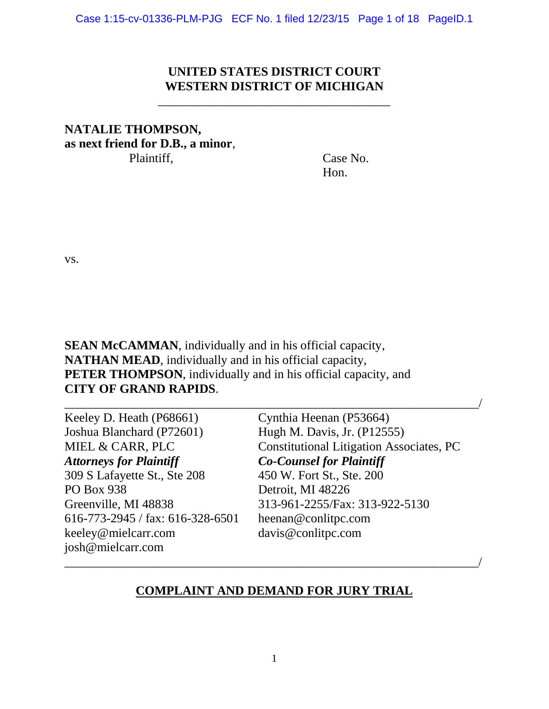## **UNITED STATES DISTRICT COURT WESTERN DISTRICT OF MICHIGAN**

\_\_\_\_\_\_\_\_\_\_\_\_\_\_\_\_\_\_\_\_\_\_\_\_\_\_\_\_\_\_\_\_\_\_\_\_\_

# **NATALIE THOMPSON, as next friend for D.B., a minor**, Plaintiff, Case No.

Hon.

vs.

**SEAN McCAMMAN**, individually and in his official capacity, **NATHAN MEAD**, individually and in his official capacity, **PETER THOMPSON**, individually and in his official capacity, and **CITY OF GRAND RAPIDS**.

| Keeley D. Heath (P68661)         | Cynthia Heenan (P53664)                         |
|----------------------------------|-------------------------------------------------|
| Joshua Blanchard (P72601)        | Hugh M. Davis, Jr. (P12555)                     |
| MIEL & CARR, PLC                 | <b>Constitutional Litigation Associates, PC</b> |
| <b>Attorneys for Plaintiff</b>   | <b>Co-Counsel for Plaintiff</b>                 |
| 309 S Lafayette St., Ste 208     | 450 W. Fort St., Ste. 200                       |
| <b>PO Box 938</b>                | Detroit, MI 48226                               |
| Greenville, MI 48838             | 313-961-2255/Fax: 313-922-5130                  |
| 616-773-2945 / fax: 616-328-6501 | heenan@conlitpc.com                             |
| keeley@mielcarr.com              | davis@conlitpc.com                              |
| josh@mielcarr.com                |                                                 |

#### **COMPLAINT AND DEMAND FOR JURY TRIAL**

\_\_\_\_\_\_\_\_\_\_\_\_\_\_\_\_\_\_\_\_\_\_\_\_\_\_\_\_\_\_\_\_\_\_\_\_\_\_\_\_\_\_\_\_\_\_\_\_\_\_\_\_\_\_\_\_\_\_\_\_\_\_\_\_\_\_/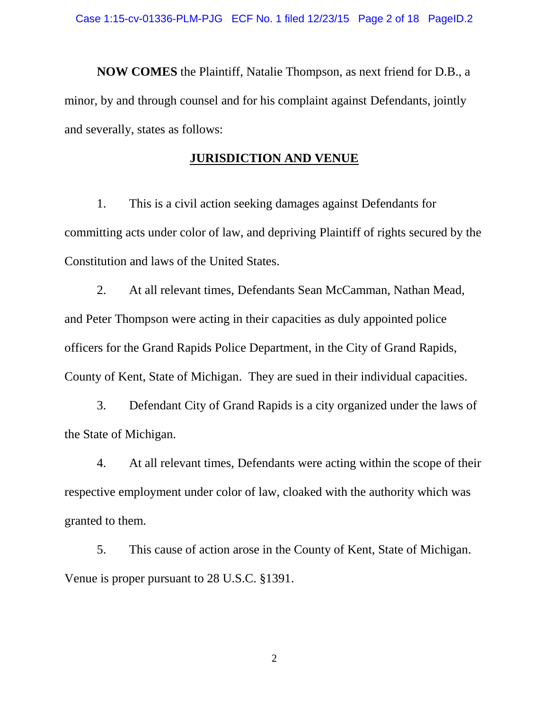**NOW COMES** the Plaintiff, Natalie Thompson, as next friend for D.B., a minor, by and through counsel and for his complaint against Defendants, jointly and severally, states as follows:

#### **JURISDICTION AND VENUE**

1. This is a civil action seeking damages against Defendants for committing acts under color of law, and depriving Plaintiff of rights secured by the Constitution and laws of the United States.

2. At all relevant times, Defendants Sean McCamman, Nathan Mead, and Peter Thompson were acting in their capacities as duly appointed police officers for the Grand Rapids Police Department, in the City of Grand Rapids, County of Kent, State of Michigan. They are sued in their individual capacities.

3. Defendant City of Grand Rapids is a city organized under the laws of the State of Michigan.

4. At all relevant times, Defendants were acting within the scope of their respective employment under color of law, cloaked with the authority which was granted to them.

5. This cause of action arose in the County of Kent, State of Michigan. Venue is proper pursuant to 28 U.S.C. §1391.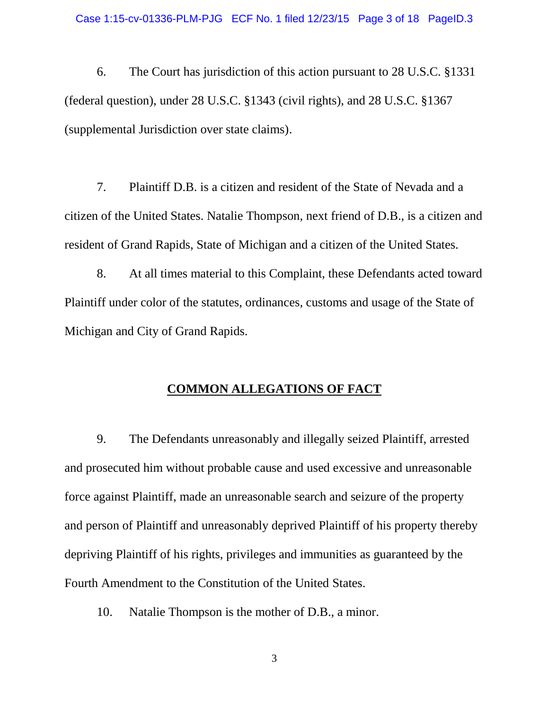6. The Court has jurisdiction of this action pursuant to 28 U.S.C. §1331 (federal question), under 28 U.S.C. §1343 (civil rights), and 28 U.S.C. §1367 (supplemental Jurisdiction over state claims).

7. Plaintiff D.B. is a citizen and resident of the State of Nevada and a citizen of the United States. Natalie Thompson, next friend of D.B., is a citizen and resident of Grand Rapids, State of Michigan and a citizen of the United States.

8. At all times material to this Complaint, these Defendants acted toward Plaintiff under color of the statutes, ordinances, customs and usage of the State of Michigan and City of Grand Rapids.

## **COMMON ALLEGATIONS OF FACT**

9. The Defendants unreasonably and illegally seized Plaintiff, arrested and prosecuted him without probable cause and used excessive and unreasonable force against Plaintiff, made an unreasonable search and seizure of the property and person of Plaintiff and unreasonably deprived Plaintiff of his property thereby depriving Plaintiff of his rights, privileges and immunities as guaranteed by the Fourth Amendment to the Constitution of the United States.

10. Natalie Thompson is the mother of D.B., a minor.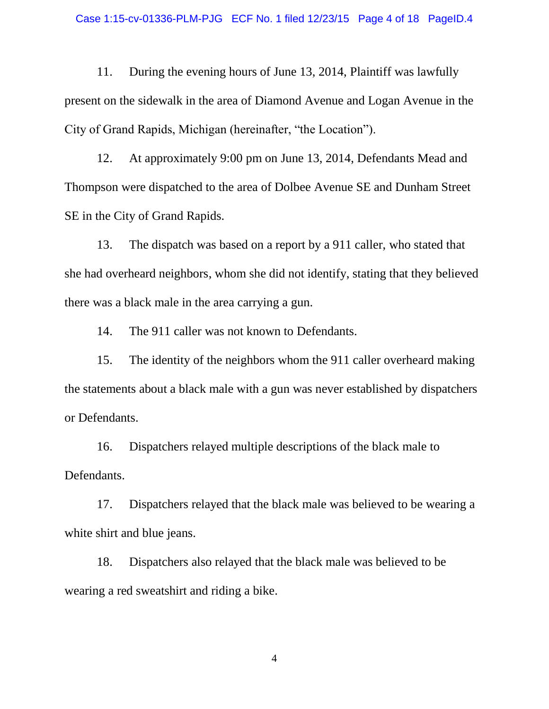11. During the evening hours of June 13, 2014, Plaintiff was lawfully present on the sidewalk in the area of Diamond Avenue and Logan Avenue in the City of Grand Rapids, Michigan (hereinafter, "the Location").

12. At approximately 9:00 pm on June 13, 2014, Defendants Mead and Thompson were dispatched to the area of Dolbee Avenue SE and Dunham Street SE in the City of Grand Rapids.

13. The dispatch was based on a report by a 911 caller, who stated that she had overheard neighbors, whom she did not identify, stating that they believed there was a black male in the area carrying a gun.

14. The 911 caller was not known to Defendants.

15. The identity of the neighbors whom the 911 caller overheard making the statements about a black male with a gun was never established by dispatchers or Defendants.

16. Dispatchers relayed multiple descriptions of the black male to Defendants.

17. Dispatchers relayed that the black male was believed to be wearing a white shirt and blue jeans.

18. Dispatchers also relayed that the black male was believed to be wearing a red sweatshirt and riding a bike.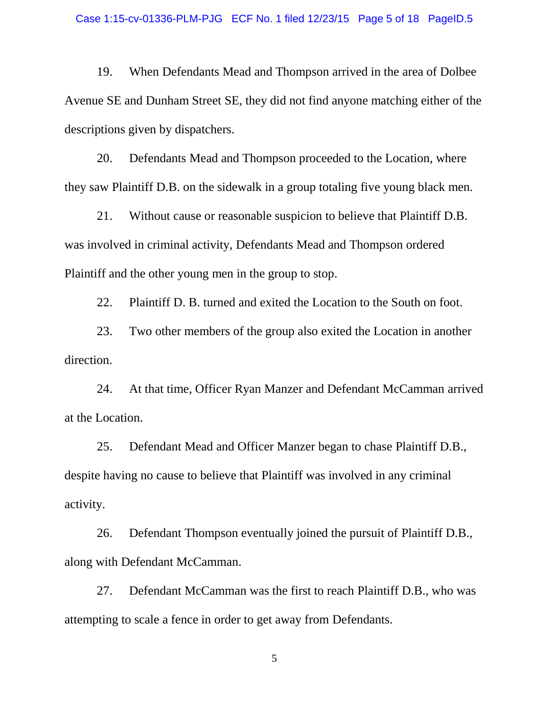19. When Defendants Mead and Thompson arrived in the area of Dolbee Avenue SE and Dunham Street SE, they did not find anyone matching either of the descriptions given by dispatchers.

20. Defendants Mead and Thompson proceeded to the Location, where they saw Plaintiff D.B. on the sidewalk in a group totaling five young black men.

21. Without cause or reasonable suspicion to believe that Plaintiff D.B. was involved in criminal activity, Defendants Mead and Thompson ordered Plaintiff and the other young men in the group to stop.

22. Plaintiff D. B. turned and exited the Location to the South on foot.

23. Two other members of the group also exited the Location in another direction.

24. At that time, Officer Ryan Manzer and Defendant McCamman arrived at the Location.

25. Defendant Mead and Officer Manzer began to chase Plaintiff D.B., despite having no cause to believe that Plaintiff was involved in any criminal activity.

26. Defendant Thompson eventually joined the pursuit of Plaintiff D.B., along with Defendant McCamman.

27. Defendant McCamman was the first to reach Plaintiff D.B., who was attempting to scale a fence in order to get away from Defendants.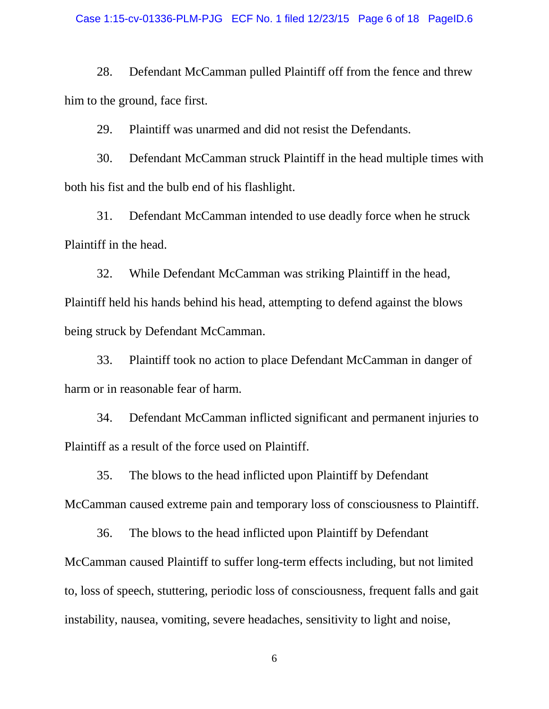#### Case 1:15-cv-01336-PLM-PJG ECF No. 1 filed 12/23/15 Page 6 of 18 PageID.6

28. Defendant McCamman pulled Plaintiff off from the fence and threw him to the ground, face first.

29. Plaintiff was unarmed and did not resist the Defendants.

30. Defendant McCamman struck Plaintiff in the head multiple times with both his fist and the bulb end of his flashlight.

31. Defendant McCamman intended to use deadly force when he struck Plaintiff in the head.

32. While Defendant McCamman was striking Plaintiff in the head, Plaintiff held his hands behind his head, attempting to defend against the blows being struck by Defendant McCamman.

33. Plaintiff took no action to place Defendant McCamman in danger of harm or in reasonable fear of harm.

34. Defendant McCamman inflicted significant and permanent injuries to Plaintiff as a result of the force used on Plaintiff.

35. The blows to the head inflicted upon Plaintiff by Defendant McCamman caused extreme pain and temporary loss of consciousness to Plaintiff.

36. The blows to the head inflicted upon Plaintiff by Defendant McCamman caused Plaintiff to suffer long-term effects including, but not limited to, loss of speech, stuttering, periodic loss of consciousness, frequent falls and gait instability, nausea, vomiting, severe headaches, sensitivity to light and noise,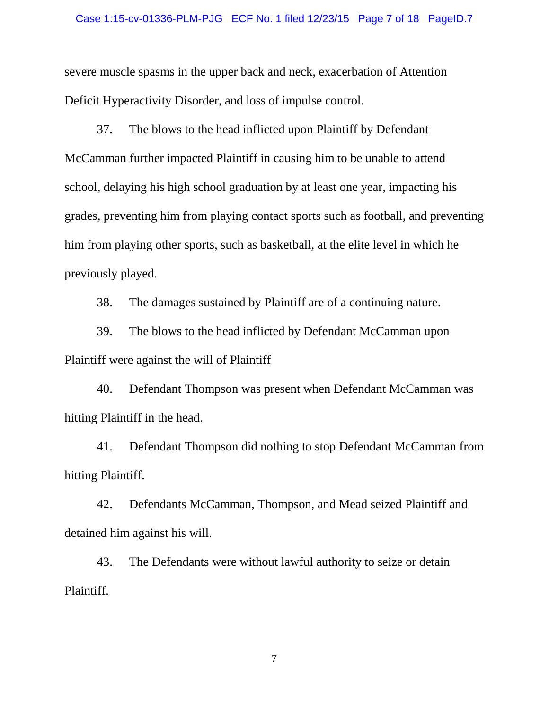severe muscle spasms in the upper back and neck, exacerbation of Attention Deficit Hyperactivity Disorder, and loss of impulse control.

37. The blows to the head inflicted upon Plaintiff by Defendant McCamman further impacted Plaintiff in causing him to be unable to attend school, delaying his high school graduation by at least one year, impacting his grades, preventing him from playing contact sports such as football, and preventing him from playing other sports, such as basketball, at the elite level in which he previously played.

38. The damages sustained by Plaintiff are of a continuing nature.

39. The blows to the head inflicted by Defendant McCamman upon Plaintiff were against the will of Plaintiff

40. Defendant Thompson was present when Defendant McCamman was hitting Plaintiff in the head.

41. Defendant Thompson did nothing to stop Defendant McCamman from hitting Plaintiff.

42. Defendants McCamman, Thompson, and Mead seized Plaintiff and detained him against his will.

43. The Defendants were without lawful authority to seize or detain Plaintiff.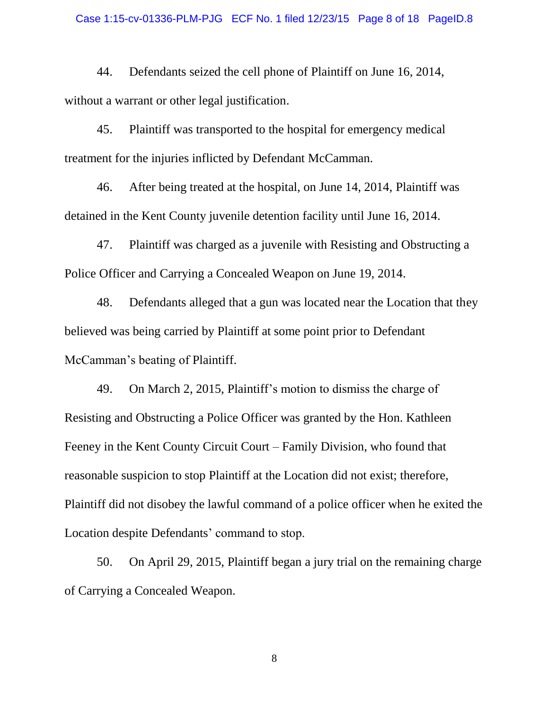44. Defendants seized the cell phone of Plaintiff on June 16, 2014, without a warrant or other legal justification.

45. Plaintiff was transported to the hospital for emergency medical treatment for the injuries inflicted by Defendant McCamman.

46. After being treated at the hospital, on June 14, 2014, Plaintiff was detained in the Kent County juvenile detention facility until June 16, 2014.

47. Plaintiff was charged as a juvenile with Resisting and Obstructing a Police Officer and Carrying a Concealed Weapon on June 19, 2014.

48. Defendants alleged that a gun was located near the Location that they believed was being carried by Plaintiff at some point prior to Defendant McCamman's beating of Plaintiff.

49. On March 2, 2015, Plaintiff's motion to dismiss the charge of Resisting and Obstructing a Police Officer was granted by the Hon. Kathleen Feeney in the Kent County Circuit Court – Family Division, who found that reasonable suspicion to stop Plaintiff at the Location did not exist; therefore, Plaintiff did not disobey the lawful command of a police officer when he exited the Location despite Defendants' command to stop.

50. On April 29, 2015, Plaintiff began a jury trial on the remaining charge of Carrying a Concealed Weapon.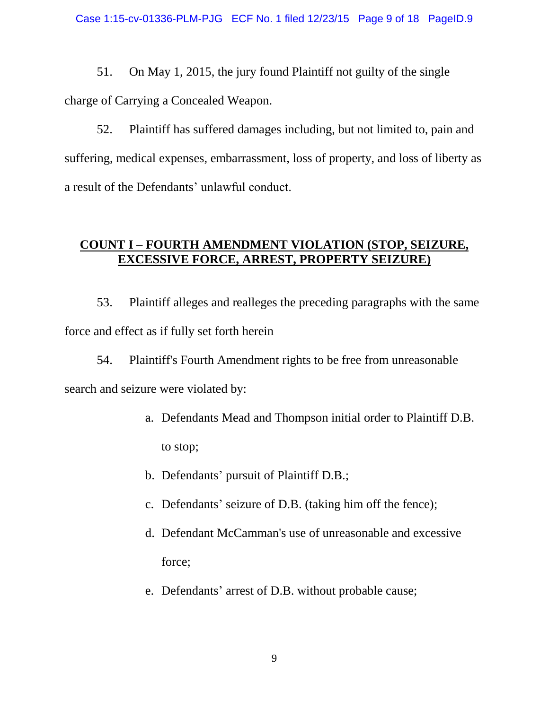51. On May 1, 2015, the jury found Plaintiff not guilty of the single charge of Carrying a Concealed Weapon.

52. Plaintiff has suffered damages including, but not limited to, pain and suffering, medical expenses, embarrassment, loss of property, and loss of liberty as a result of the Defendants' unlawful conduct.

## **COUNT I – FOURTH AMENDMENT VIOLATION (STOP, SEIZURE, EXCESSIVE FORCE, ARREST, PROPERTY SEIZURE)**

53. Plaintiff alleges and realleges the preceding paragraphs with the same force and effect as if fully set forth herein

54. Plaintiff's Fourth Amendment rights to be free from unreasonable search and seizure were violated by:

- a. Defendants Mead and Thompson initial order to Plaintiff D.B. to stop;
- b. Defendants' pursuit of Plaintiff D.B.;
- c. Defendants' seizure of D.B. (taking him off the fence);
- d. Defendant McCamman's use of unreasonable and excessive force;
- e. Defendants' arrest of D.B. without probable cause;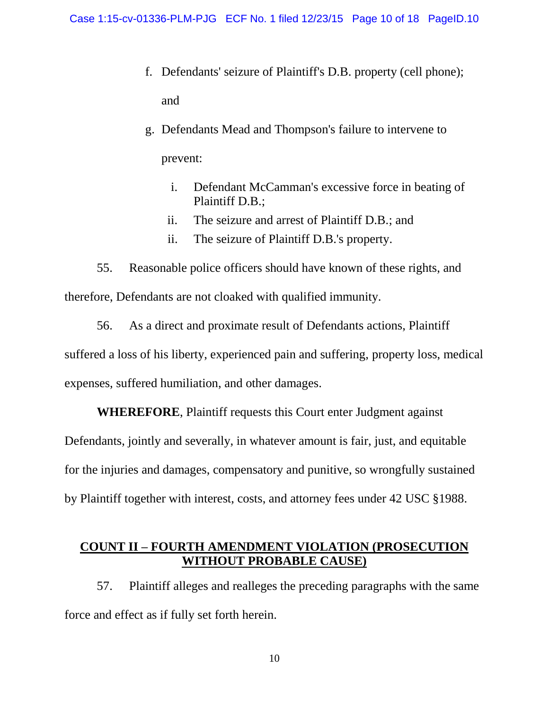- f. Defendants' seizure of Plaintiff's D.B. property (cell phone); and
- g. Defendants Mead and Thompson's failure to intervene to prevent:
	- i. Defendant McCamman's excessive force in beating of Plaintiff D.B.;
	- ii. The seizure and arrest of Plaintiff D.B.; and
	- ii. The seizure of Plaintiff D.B.'s property.

55. Reasonable police officers should have known of these rights, and therefore, Defendants are not cloaked with qualified immunity.

56. As a direct and proximate result of Defendants actions, Plaintiff suffered a loss of his liberty, experienced pain and suffering, property loss, medical expenses, suffered humiliation, and other damages.

**WHEREFORE**, Plaintiff requests this Court enter Judgment against Defendants, jointly and severally, in whatever amount is fair, just, and equitable for the injuries and damages, compensatory and punitive, so wrongfully sustained

by Plaintiff together with interest, costs, and attorney fees under 42 USC §1988.

#### **COUNT II – FOURTH AMENDMENT VIOLATION (PROSECUTION WITHOUT PROBABLE CAUSE)**

57. Plaintiff alleges and realleges the preceding paragraphs with the same force and effect as if fully set forth herein.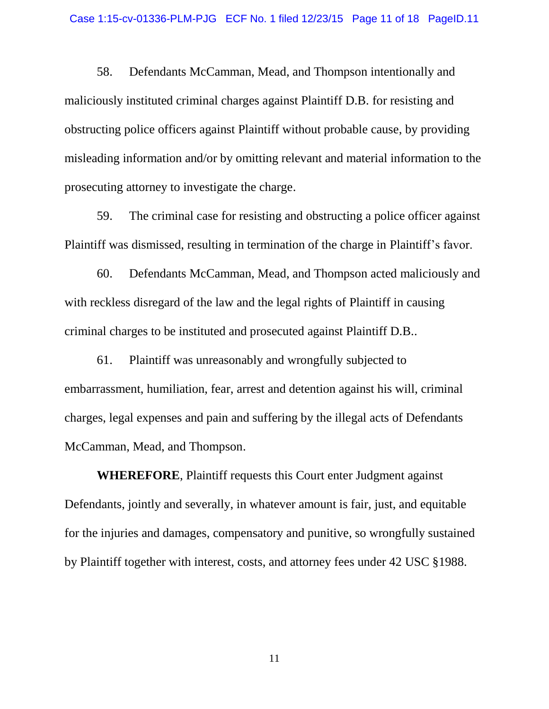58. Defendants McCamman, Mead, and Thompson intentionally and maliciously instituted criminal charges against Plaintiff D.B. for resisting and obstructing police officers against Plaintiff without probable cause, by providing misleading information and/or by omitting relevant and material information to the prosecuting attorney to investigate the charge.

59. The criminal case for resisting and obstructing a police officer against Plaintiff was dismissed, resulting in termination of the charge in Plaintiff's favor.

60. Defendants McCamman, Mead, and Thompson acted maliciously and with reckless disregard of the law and the legal rights of Plaintiff in causing criminal charges to be instituted and prosecuted against Plaintiff D.B..

61. Plaintiff was unreasonably and wrongfully subjected to embarrassment, humiliation, fear, arrest and detention against his will, criminal charges, legal expenses and pain and suffering by the illegal acts of Defendants McCamman, Mead, and Thompson.

**WHEREFORE**, Plaintiff requests this Court enter Judgment against Defendants, jointly and severally, in whatever amount is fair, just, and equitable for the injuries and damages, compensatory and punitive, so wrongfully sustained by Plaintiff together with interest, costs, and attorney fees under 42 USC §1988.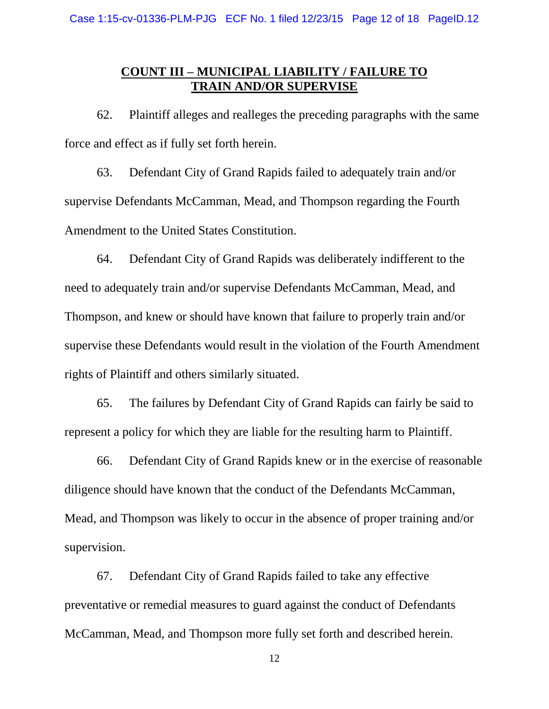## **COUNT III – MUNICIPAL LIABILITY / FAILURE TO TRAIN AND/OR SUPERVISE**

62. Plaintiff alleges and realleges the preceding paragraphs with the same force and effect as if fully set forth herein.

63. Defendant City of Grand Rapids failed to adequately train and/or supervise Defendants McCamman, Mead, and Thompson regarding the Fourth Amendment to the United States Constitution.

64. Defendant City of Grand Rapids was deliberately indifferent to the need to adequately train and/or supervise Defendants McCamman, Mead, and Thompson, and knew or should have known that failure to properly train and/or supervise these Defendants would result in the violation of the Fourth Amendment rights of Plaintiff and others similarly situated.

65. The failures by Defendant City of Grand Rapids can fairly be said to represent a policy for which they are liable for the resulting harm to Plaintiff.

66. Defendant City of Grand Rapids knew or in the exercise of reasonable diligence should have known that the conduct of the Defendants McCamman, Mead, and Thompson was likely to occur in the absence of proper training and/or supervision.

67. Defendant City of Grand Rapids failed to take any effective preventative or remedial measures to guard against the conduct of Defendants McCamman, Mead, and Thompson more fully set forth and described herein.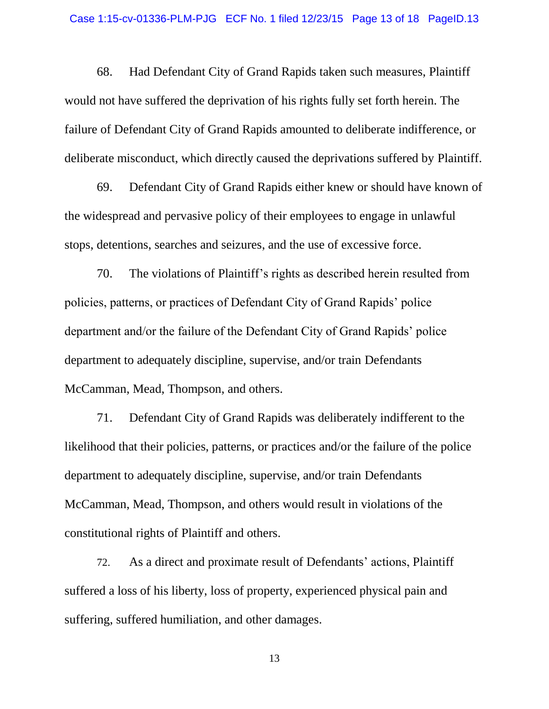68. Had Defendant City of Grand Rapids taken such measures, Plaintiff would not have suffered the deprivation of his rights fully set forth herein. The failure of Defendant City of Grand Rapids amounted to deliberate indifference, or deliberate misconduct, which directly caused the deprivations suffered by Plaintiff.

69. Defendant City of Grand Rapids either knew or should have known of the widespread and pervasive policy of their employees to engage in unlawful stops, detentions, searches and seizures, and the use of excessive force.

70. The violations of Plaintiff's rights as described herein resulted from policies, patterns, or practices of Defendant City of Grand Rapids' police department and/or the failure of the Defendant City of Grand Rapids' police department to adequately discipline, supervise, and/or train Defendants McCamman, Mead, Thompson, and others.

71. Defendant City of Grand Rapids was deliberately indifferent to the likelihood that their policies, patterns, or practices and/or the failure of the police department to adequately discipline, supervise, and/or train Defendants McCamman, Mead, Thompson, and others would result in violations of the constitutional rights of Plaintiff and others.

72. As a direct and proximate result of Defendants' actions, Plaintiff suffered a loss of his liberty, loss of property, experienced physical pain and suffering, suffered humiliation, and other damages.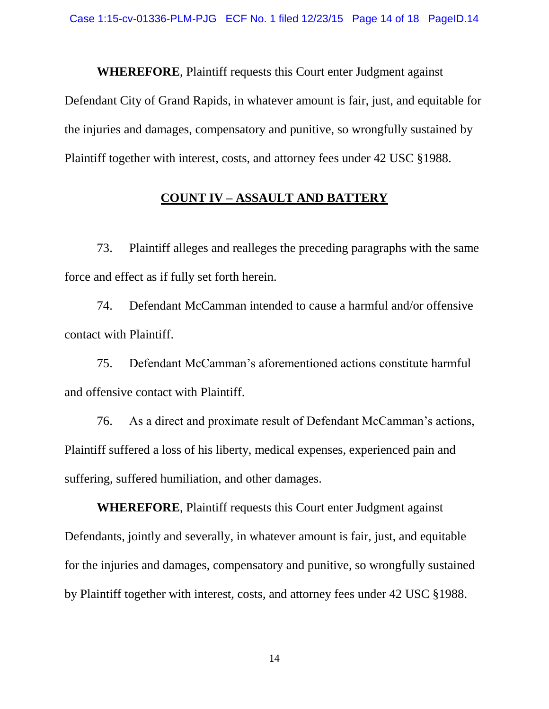**WHEREFORE**, Plaintiff requests this Court enter Judgment against Defendant City of Grand Rapids, in whatever amount is fair, just, and equitable for the injuries and damages, compensatory and punitive, so wrongfully sustained by Plaintiff together with interest, costs, and attorney fees under 42 USC §1988.

## **COUNT IV – ASSAULT AND BATTERY**

73. Plaintiff alleges and realleges the preceding paragraphs with the same force and effect as if fully set forth herein.

74. Defendant McCamman intended to cause a harmful and/or offensive contact with Plaintiff.

75. Defendant McCamman's aforementioned actions constitute harmful and offensive contact with Plaintiff.

76. As a direct and proximate result of Defendant McCamman's actions, Plaintiff suffered a loss of his liberty, medical expenses, experienced pain and suffering, suffered humiliation, and other damages.

**WHEREFORE**, Plaintiff requests this Court enter Judgment against Defendants, jointly and severally, in whatever amount is fair, just, and equitable for the injuries and damages, compensatory and punitive, so wrongfully sustained by Plaintiff together with interest, costs, and attorney fees under 42 USC §1988.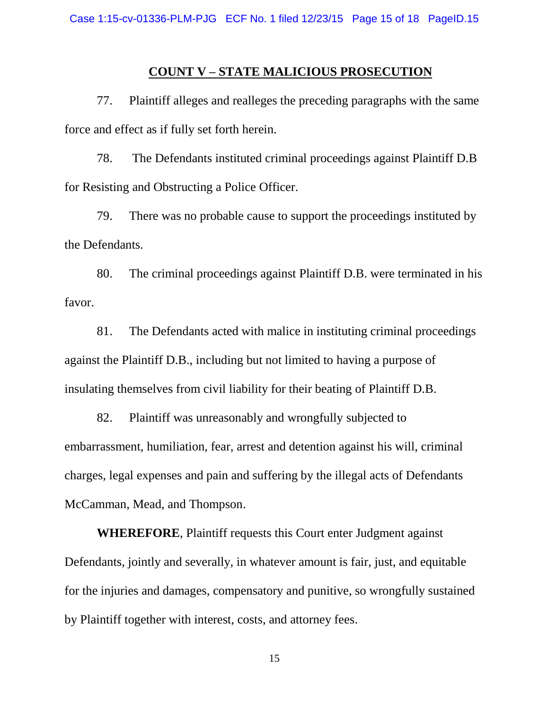#### **COUNT V – STATE MALICIOUS PROSECUTION**

77. Plaintiff alleges and realleges the preceding paragraphs with the same force and effect as if fully set forth herein.

78. The Defendants instituted criminal proceedings against Plaintiff D.B for Resisting and Obstructing a Police Officer.

79. There was no probable cause to support the proceedings instituted by the Defendants.

80. The criminal proceedings against Plaintiff D.B. were terminated in his favor.

81. The Defendants acted with malice in instituting criminal proceedings against the Plaintiff D.B., including but not limited to having a purpose of insulating themselves from civil liability for their beating of Plaintiff D.B.

82. Plaintiff was unreasonably and wrongfully subjected to embarrassment, humiliation, fear, arrest and detention against his will, criminal charges, legal expenses and pain and suffering by the illegal acts of Defendants McCamman, Mead, and Thompson.

**WHEREFORE**, Plaintiff requests this Court enter Judgment against Defendants, jointly and severally, in whatever amount is fair, just, and equitable for the injuries and damages, compensatory and punitive, so wrongfully sustained by Plaintiff together with interest, costs, and attorney fees.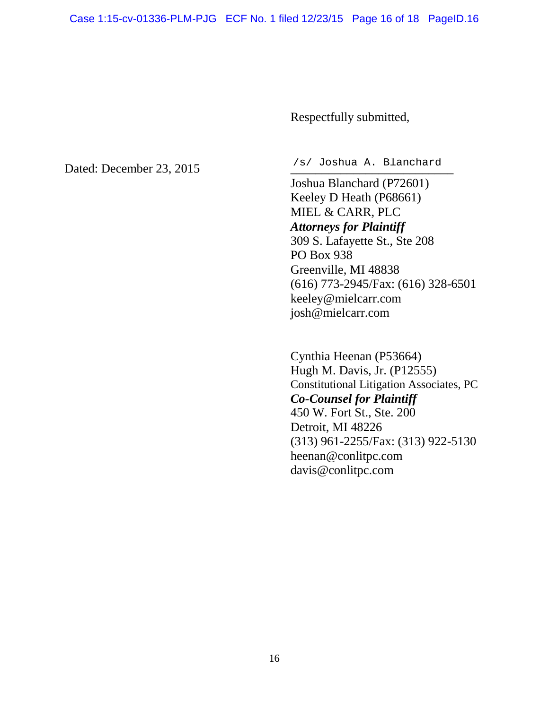Respectfully submitted,

Dated: December 23, 2015

/s/ Joshua A. Blanchard

Joshua Blanchard (P72601) Keeley D Heath (P68661) MIEL & CARR, PLC *Attorneys for Plaintiff* 309 S. Lafayette St., Ste 208 PO Box 938 Greenville, MI 48838 (616) 773-2945/Fax: (616) 328-6501 keeley@mielcarr.com josh@mielcarr.com

Cynthia Heenan (P53664) Hugh M. Davis, Jr. (P12555) Constitutional Litigation Associates, PC *Co-Counsel for Plaintiff* 450 W. Fort St., Ste. 200 Detroit, MI 48226 (313) 961-2255/Fax: (313) 922-5130 heenan@conlitpc.com davis@conlitpc.com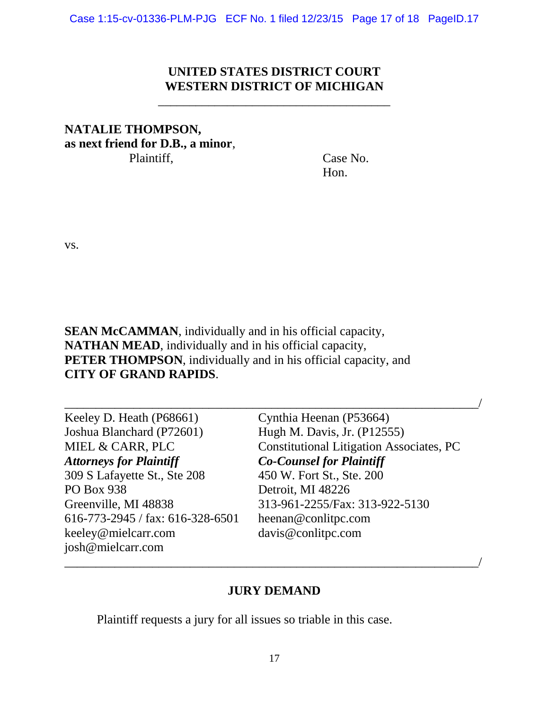## **UNITED STATES DISTRICT COURT WESTERN DISTRICT OF MICHIGAN**

\_\_\_\_\_\_\_\_\_\_\_\_\_\_\_\_\_\_\_\_\_\_\_\_\_\_\_\_\_\_\_\_\_\_\_\_\_

# **NATALIE THOMPSON, as next friend for D.B., a minor**, Plaintiff, Case No.

Hon.

vs.

**SEAN McCAMMAN**, individually and in his official capacity, **NATHAN MEAD**, individually and in his official capacity, **PETER THOMPSON**, individually and in his official capacity, and **CITY OF GRAND RAPIDS**.

| Keeley D. Heath (P68661)           | Cynthia Heenan (P53664)                         |
|------------------------------------|-------------------------------------------------|
| Joshua Blanchard (P72601)          | Hugh M. Davis, Jr. (P12555)                     |
| MIEL & CARR, PLC                   | <b>Constitutional Litigation Associates, PC</b> |
| <b>Attorneys for Plaintiff</b>     | <b>Co-Counsel for Plaintiff</b>                 |
| 309 S Lafayette St., Ste 208       | 450 W. Fort St., Ste. 200                       |
| PO Box 938                         | Detroit, MI 48226                               |
| Greenville, MI 48838               | 313-961-2255/Fax: 313-922-5130                  |
| $616-773-2945$ / fax: 616-328-6501 | heenan@conlitpc.com                             |
| keeley@mielcarr.com                | davis@conlitpc.com                              |
| josh@mielcarr.com                  |                                                 |

## **JURY DEMAND**

\_\_\_\_\_\_\_\_\_\_\_\_\_\_\_\_\_\_\_\_\_\_\_\_\_\_\_\_\_\_\_\_\_\_\_\_\_\_\_\_\_\_\_\_\_\_\_\_\_\_\_\_\_\_\_\_\_\_\_\_\_\_\_\_\_\_/

Plaintiff requests a jury for all issues so triable in this case.